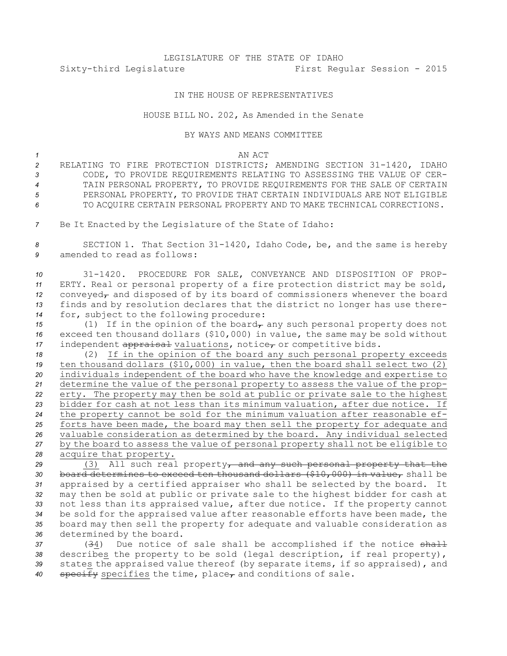## LEGISLATURE OF THE STATE OF IDAHO Sixty-third Legislature First Regular Session - 2015

## IN THE HOUSE OF REPRESENTATIVES

## HOUSE BILL NO. 202, As Amended in the Senate

## BY WAYS AND MEANS COMMITTEE

*1* AN ACT

- *<sup>2</sup>* RELATING TO FIRE PROTECTION DISTRICTS; AMENDING SECTION 31-1420, IDAHO *3* CODE, TO PROVIDE REQUIREMENTS RELATING TO ASSESSING THE VALUE OF CER-*4* TAIN PERSONAL PROPERTY, TO PROVIDE REQUIREMENTS FOR THE SALE OF CERTAIN 5 PERSONAL PROPERTY, TO PROVIDE THAT CERTAIN INDIVIDUALS ARE NOT ELIGIBLE *6* TO ACQUIRE CERTAIN PERSONAL PROPERTY AND TO MAKE TECHNICAL CORRECTIONS.
- *<sup>7</sup>* Be It Enacted by the Legislature of the State of Idaho:

*<sup>8</sup>* SECTION 1. That Section 31-1420, Idaho Code, be, and the same is hereby *9* amended to read as follows:

 31-1420. PROCEDURE FOR SALE, CONVEYANCE AND DISPOSITION OF PROP- ERTY. Real or personal property of <sup>a</sup> fire protection district may be sold, 12 conveyed<sub>r</sub> and disposed of by its board of commissioners whenever the board finds and by resolution declares that the district no longer has use there-for, subject to the following procedure:

*15* (1) If in the opinion of the board<sub> $\tau$ </sub> any such personal property does not *<sup>16</sup>* exceed ten thousand dollars (\$10,000) in value, the same may be sold without 17 independent appraisal valuations, notice<sub>r</sub> or competitive bids.

 (2) If in the opinion of the board any such personal property exceeds ten thousand dollars (\$10,000) in value, then the board shall select two (2) individuals independent of the board who have the knowledge and expertise to determine the value of the personal property to assess the value of the prop- erty. The property may then be sold at public or private sale to the highest bidder for cash at not less than its minimum valuation, after due notice. If the property cannot be sold for the minimum valuation after reasonable ef- forts have been made, the board may then sell the property for adequate and valuable consideration as determined by the board. Any individual selected by the board to assess the value of personal property shall not be eligible to acquire that property.

 (3) All such real property, and any such personal property that the board determines to exceed ten thousand dollars (\$10,000) in value, shall be appraised by <sup>a</sup> certified appraiser who shall be selected by the board. It may then be sold at public or private sale to the highest bidder for cash at not less than its appraised value, after due notice. If the property cannot be sold for the appraised value after reasonable efforts have been made, the board may then sell the property for adequate and valuable consideration as determined by the board.

 (34) Due notice of sale shall be accomplished if the notice shall describes the property to be sold (legal description, if real property), states the appraised value thereof (by separate items, if so appraised), and 40 specify specifies the time, place<sub>r</sub> and conditions of sale.